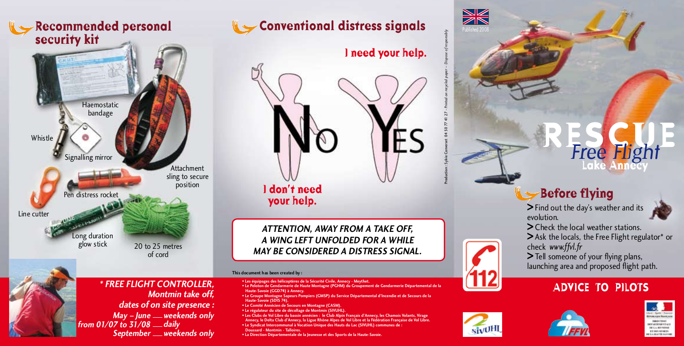# **security kit**



of cord



### **Recommended personal Conventional distress signals**



**I don't need your help.**

**ATTENTION, AWAY FROM A TAKE OFF, A WING LEFT UNFOLDED FOR A WHILE**  20 to 25 metres<br>MAY BE CONSIDERED A DISTRESS SIGNAL.

- **This document has been created by :<br>• Les équinages des hélicontères de la Sécurité Civile Annecy Meythet**
- **\* FREE FLIGHT CONTROLLER,** Controlled Controlled Controlled Controlled Controlled Controlled Controlled Controlled Controlled Controlled Controlled Controlled Controlled Controlled Controlled Controlled Controlled Control **• Haute-Savoie (GGD74) à Annecy** 
	- **Haute-Savoie (GGD74) à Annecy. Le Groupe Montagne Sapeurs Pompiers (GMSP) du Service Départemental d'Incendie et de Secours de la Haute-Savoie (SDIS 74).**<br>• Le Comité Annécien de Secours en Montagne (CASM)
	-
	- Le régulateur du site de décollage de Montmin (SIVUHL)
	- Les Clubs de Vol Libre du bassin annécien : le Club Alpin Français d'Annecy, les Chamois Volants, Virage **• Annecy, le Delta Club d'Annecy, la Ligue Rhône Alpes de Vol Libre et la Fédération Française de Vol Libre. .** Le Syndicat Intercommunal à Vocation Unique des Hauts du Lac (SIVUHL) communes de **• Doussard - Montmin - Talloires**
	- **Doussard Montmin Talloires. La Direction Départementale de la Jeunesse et des Sports de la Haute-Savoie.**

# Production : Sylvie Converset 04 50 77 41 27 - *Printed on recycled paper – Dispose of responsibly*

**SK** 

### **Before flying**

**<sup>&</sup>gt;** Find out the day's weather and its

evolution. **<sup>&</sup>gt;** Check the local weather stations. **<sup>&</sup>gt;** Ask the locals, the Free Flight regulator\* or

**RESCUE**

Free Flight **Lake Annecy**

check *www.ffvl.fr* **<sup>&</sup>gt;** Tell someone of your flying plans, launching area and proposed flight path.